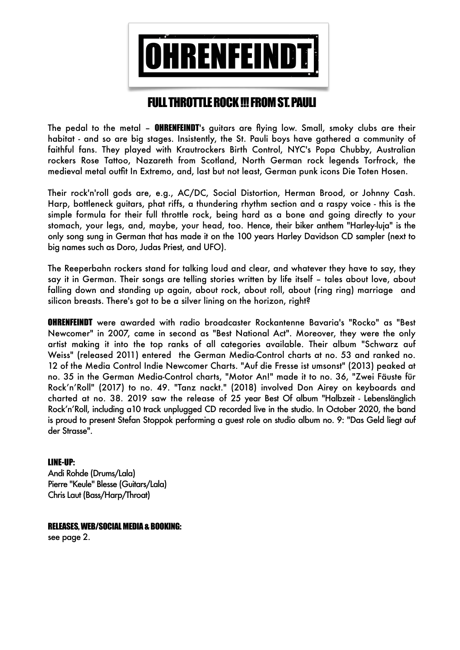

# FULL THROTTLE ROCK !!! FROM ST. PAULI

The pedal to the metal – **OHRENFEINDT**'s guitars are flying low. Small, smoky clubs are their habitat - and so are big stages. Insistently, the St. Pauli boys have gathered a community of faithful fans. They played with Krautrockers Birth Control, NYC's Popa Chubby, Australian rockers Rose Tattoo, Nazareth from Scotland, North German rock legends Torfrock, the medieval metal outfit In Extremo, and, last but not least, German punk icons Die Toten Hosen.

Their rock'n'roll gods are, e.g., AC/DC, Social Distortion, Herman Brood, or Johnny Cash. Harp, bottleneck guitars, phat riffs, a thundering rhythm section and a raspy voice - this is the simple formula for their full throttle rock, being hard as a bone and going directly to your stomach, your legs, and, maybe, your head, too. Hence, their biker anthem "Harley-luja" is the only song sung in German that has made it on the 100 years Harley Davidson CD sampler (next to big names such as Doro, Judas Priest, and UFO).

The Reeperbahn rockers stand for talking loud and clear, and whatever they have to say, they say it in German. Their songs are telling stories written by life itself – tales about love, about falling down and standing up again, about rock, about roll, about (ring ring) marriage and silicon breasts. There's got to be a silver lining on the horizon, right?

OHRENFEINDT were awarded with radio broadcaster Rockantenne Bavaria's "Rocko" as "Best Newcomer" in 2007, came in second as "Best National Act". Moreover, they were the only artist making it into the top ranks of all categories available. Their album "Schwarz auf Weiss" (released 2011) entered the German Media-Control charts at no. 53 and ranked no. 12 of the Media Control Indie Newcomer Charts. "Auf die Fresse ist umsonst" (2013) peaked at no. 35 in the German Media-Control charts, "Motor An!" made it to no. 36, "Zwei Fäuste für Rock'n'Roll" (2017) to no. 49. "Tanz nackt." (2018) involved Don Airey on keyboards and charted at no. 38. 2019 saw the release of 25 year Best Of album "Halbzeit - Lebenslänglich Rock'n'Roll, including a10 track unplugged CD recorded live in the studio. In October 2020, the band is proud to present Stefan Stoppok performing a guest role on studio album no. 9: "Das Geld liegt auf der Strasse".

## LINE-UP:

Andi Rohde (Drums/Lala) Pierre "Keule" Blesse (Guitars/Lala) Chris Laut (Bass/Harp/Throat)

## RELEASES, WEB/SOCIAL MEDIA & BOOKING:

see page 2.